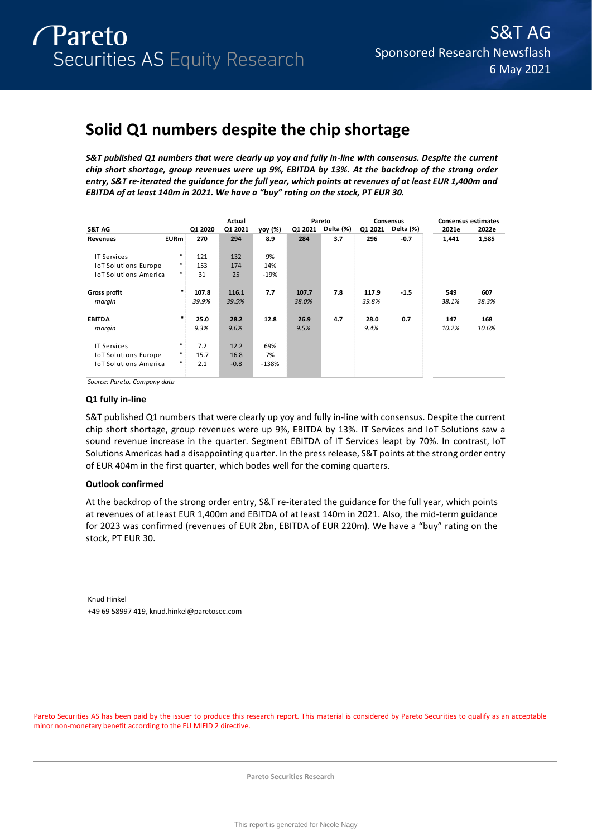# **Solid Q1 numbers despite the chip shortage**

*S&T published Q1 numbers that were clearly up yoy and fully in-line with consensus. Despite the current chip short shortage, group revenues were up 9%, EBITDA by 13%. At the backdrop of the strong order entry, S&T re-iterated the guidance for the full year, which points at revenues of at least EUR 1,400m and EBITDA of at least 140m in 2021. We have a "buy" rating on the stock, PT EUR 30.* 

|                              |                   |         | Actual  |         |         | Pareto    |         | Consensus |       | <b>Consensus estimates</b> |
|------------------------------|-------------------|---------|---------|---------|---------|-----------|---------|-----------|-------|----------------------------|
| S&T AG                       |                   | Q1 2020 | Q1 2021 | yoy (%) | Q1 2021 | Delta (%) | Q1 2021 | Delta (%) | 2021e | 2022e                      |
| <b>Revenues</b>              | <b>EURm</b>       | 270     | 294     | 8.9     | 284     | 3.7       | 296     | $-0.7$    | 1,441 | 1,585                      |
|                              |                   |         |         |         |         |           |         |           |       |                            |
| IT Services                  | $\blacksquare$    | 121     | 132     | 9%      |         |           |         |           |       |                            |
| <b>IoT Solutions Europe</b>  | $^{\prime\prime}$ | 153     | 174     | 14%     |         |           |         |           |       |                            |
| <b>IoT Solutions America</b> | $^{\prime\prime}$ | 31      | 25      | -19%    |         |           |         |           |       |                            |
|                              |                   |         |         |         |         |           |         |           |       |                            |
| Gross profit                 | $\mathbf{u}$      | 107.8   | 116.1   | 7.7     | 107.7   | 7.8       | 117.9   | $-1.5$    | 549   | 607                        |
| margin                       |                   | 39.9%   | 39.5%   |         | 38.0%   |           | 39.8%   |           | 38.1% | 38.3%                      |
|                              |                   |         |         |         |         |           |         |           |       |                            |
| <b>EBITDA</b>                | шí                | 25.0    | 28.2    | 12.8    | 26.9    | 4.7       | 28.0    | 0.7       | 147   | 168                        |
| margin                       |                   | 9.3%    | 9.6%    |         | 9.5%    |           | 9.4%    |           | 10.2% | 10.6%                      |
|                              |                   |         |         |         |         |           |         |           |       |                            |
| IT Services                  | $\mathbf{u}$      | 7.2     | 12.2    | 69%     |         |           |         |           |       |                            |
| <b>IoT Solutions Europe</b>  | $^{\prime\prime}$ | 15.7    | 16.8    | 7%      |         |           |         |           |       |                            |
| <b>IoT Solutions America</b> | $^{\prime\prime}$ | 2.1     | $-0.8$  | $-138%$ |         |           |         |           |       |                            |
|                              |                   |         |         |         |         |           |         |           |       |                            |

*Source: Pareto, Company data*

# **Q1 fully in-line**

S&T published Q1 numbers that were clearly up yoy and fully in-line with consensus. Despite the current chip short shortage, group revenues were up 9%, EBITDA by 13%. IT Services and IoT Solutions saw a sound revenue increase in the quarter. Segment EBITDA of IT Services leapt by 70%. In contrast, IoT Solutions Americas had a disappointing quarter. In the press release, S&T points at the strong order entry of EUR 404m in the first quarter, which bodes well for the coming quarters.

# **Outlook confirmed**

At the backdrop of the strong order entry, S&T re-iterated the guidance for the full year, which points at revenues of at least EUR 1,400m and EBITDA of at least 140m in 2021. Also, the mid-term guidance for 2023 was confirmed (revenues of EUR 2bn, EBITDA of EUR 220m). We have a "buy" rating on the stock, PT EUR 30.

Knud Hinkel +49 69 58997 419, knud.hinkel@paretosec.com

Pareto Securities AS has been paid by the issuer to produce this research report. This material is considered by Pareto Securities to qualify as an acceptable minor non-monetary benefit according to the EU MIFID 2 directive.

**Pareto Securities Research**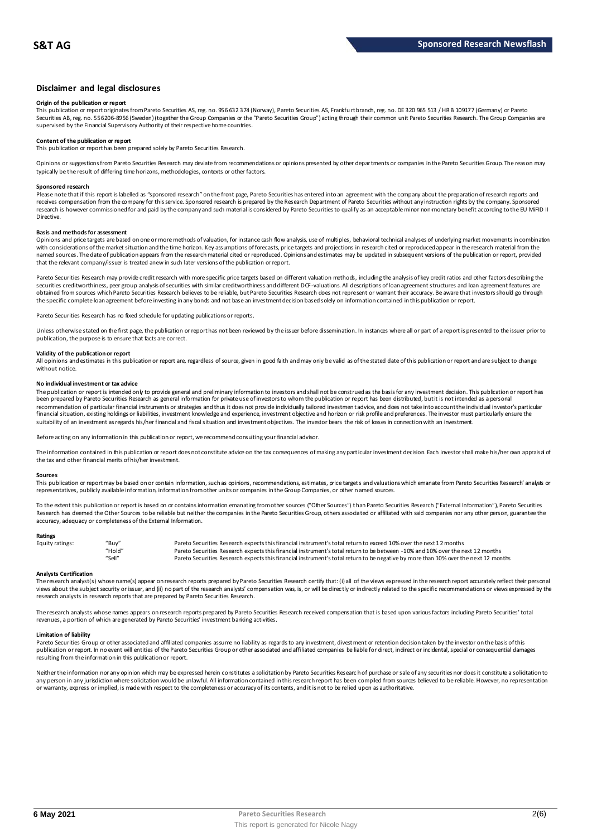# **Disclaimer and legal disclosures**

### **Origin of the publication or report**

This publication or report originates from Pareto Securities AS, reg. no. 956 632 374 (Norway), Pareto Securities AS, Frankfu rt branch, reg. no. DE 320 965 513 / HR B 109177 (Germany) or Pareto Securities AB, reg. no. 556206-8956 (Sweden) (together the Group Companies or the "Pareto Securities Group") acting through their common unit Pareto Securities Research. The Group Companies are<br>supervised by the Financial

# **Content of the publication or report**

This publication or report has been prepared solely by Pareto Securities Research.

Opinions or suggestions from Pareto Securities Research may deviate from recommendations or opinions presented by other departments or companies in the Pareto Securities Group. The reason may typically be the result of differing time horizons, methodologies, contexts or other factors.

#### **Sponsored research**

Please note that if this report is labelled as "sponsored research" on the front page, Pareto Securities has entered into an agreement with the company about the preparation of research reports and<br>receives compensation fr research is however commissioned for and paid by the company and such material is considered by Pareto Securities to qualify as an acceptable minor non-monetary benefit according to the EU MiFID II Directive.

#### **Basis and methods for assessment**

Opinions and price targets are based on one or more methods of valuation, for instance cash flow analysis, use of multiples, behavioral technical analyses of underlying market movements in combination with considerations of the market situation and the time horizon. Key assumptions of forecasts, price targets and projections in research cited or reproduced appear in the research material from the named sources. The date of publication appears from the research material cited or reproduced. Opinions and estimates may be updated in subsequent versions of the publication or report, provided that the relevant company/issuer is treated anew in such later versions of the publication or report.

Pareto Securities Research may provide credit research with more specific price targets based on different valuation methods, including the analysis of key credit ratios and other factors describing the securities creditworthiness, peer group analysis of securities with similar creditworthiness and different DCF-valuations. All descriptions of loan agreement structures and loan agreement features are obtained from sources which Pareto Securities Research believes to be reliable, but Pareto Securities Research does not represent or warrant their accuracy. Be aware that investors should go through the specific complete loan agreement before investing in any bonds and not base an investment decision based solely on information contained in this publication or report.

Pareto Securities Research has no fixed schedule for updating publications or reports.

Unless otherwise stated on the first page, the publication or report has not been reviewed by the issuer before dissemination. In instances where all or part of a report is presented to the issuer prior to publication, the purpose is to ensure that facts are correct.

# **Validity of the publication or report**

All opinions and estimates in this publication or report are, regardless of source, given in good faith and may only be valid as of the stated date of this publication or report and are subject to change without notice.

#### **No individual investment or tax advice**

The publication or report is intended only to provide general and preliminary information to investors and shall not be construed as the basis for any investment decision. This publication or report has<br>been prepared by Pa recommendation of particular financial instruments or strategies and thus it does not provide individually tailored investmen t advice, and does not take into account the individual investor's particular financial situation, existing holdings or liabilities, investment knowledge and experience, investment objective and horizon or risk profile and preferences. The investor must particularly ensure the suitability of an investment as regards his/her financial and fiscal situation and investment objectives. The investor bears the risk of losses in connection with an investment.

Before acting on any information in this publication or report, we recommend consulting your financial advisor.

The information contained in this publication or report does not constitute advice on the tax consequences of making any particular investment decision. Each investor shall make his/her own appraisal of the tax and other financial merits of his/her investment.

#### **Sources**

This publication or report may be based on or contain information, such as opinions, recommendations, estimates, price targets and valuations which emanate from Pareto Securities Research' analysts or representatives, publicly available information, information from other units or companies in the Group Companies, or other named sources.

To the extent this publication or report is based on or contains information emanating from other sources ("Other Sources") than Pareto Securities Research ("External Information"), Pareto Securities Research has deemed the Other Sources to be reliable but neither the companies in the Pareto Securities Group, others associated or affiliated with said companies nor any other person, guarantee the accuracy, adequacy or completeness of the External Information.

#### **Ratings**

| Equity ratings: | "Buy"  | Pareto Securities Research expects this financial instrument's total return to exceed 10% over the next 12 months                   |
|-----------------|--------|-------------------------------------------------------------------------------------------------------------------------------------|
|                 | "Hold" | Pareto Securities Research expects this financial instrument's total return to be between -10% and 10% over the next 12 months      |
|                 | "Sell" | Pareto Securities Research expects this financial instrument's total return to be negative by more than 10% over the next 12 months |

**Analysts Certification**<br>The research analystis) whose name(s) appear on research reports prepared by Pareto Securities Research certify that: (i) all of the views expressed in the research report accurately reflect their "Hold"<br>"Sell" Pareto Securities Research expects this financial instrument's total return to be between -10% and 10% over the next 12 months<br>"Sell" Pareto Securities Research expects this financial instrument's total retur research analysts in research reports that are prepared by Pareto Securities Research.

The research analysts whose names appears on research reports prepared by Pareto Securities Research received compensation that is based upon various factors including Pareto Securities' total revenues, a portion of which are generated by Pareto Securities' investment banking activities.

#### **Limitation of liability**

Pareto Securities Group or other associated and affiliated companies assume no liability as regards to any investment, divestment or retention decision taken by the investor on the basis of this publication or report. In no event will entities of the Pareto Securities Group or other associated and affiliated companies be liable for direct, indirect or incidental, special or consequential damages resulting from the information in this publication or report.

Neither the information nor any opinion which may be expressed herein constitutes a solicitation by Pareto Securities Research of purchase or sale of any securities nor does it constitute a solicitation to any person in any jurisdiction where solicitation would be unlawful. All information contained in this research report has been compiled from sources believed to be reliable. However, no representation or warranty, express or implied, is made with respect to the completeness or accuracy of its contents, and it is not to be relied upon as authoritative.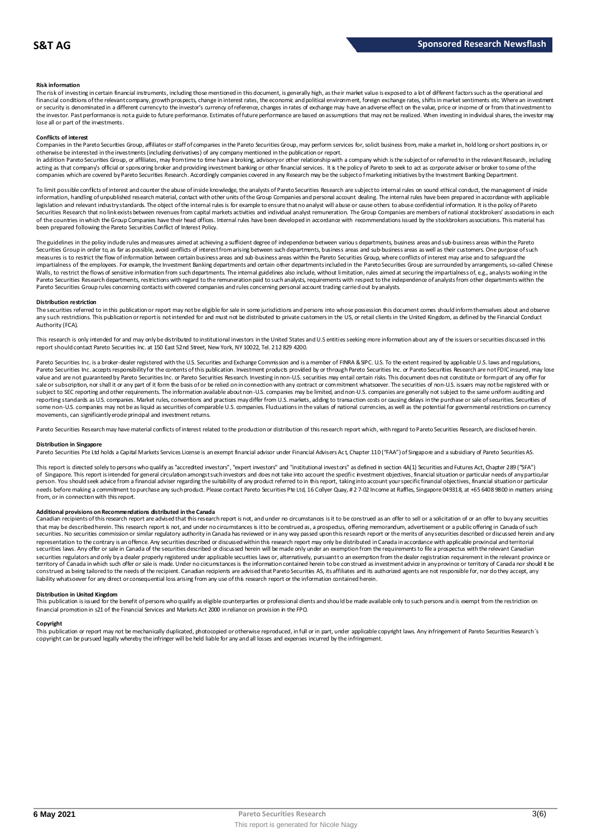#### **Risk information**

The risk of investing in certain financial instruments, including those mentioned in this document, is generally high, as their market value is exposed to a lot of different factors such as the operational and financial conditions of the relevant company, growth prospects, change in interest rates, the economic and political environment, foreign exchange rates, shifts in market sentiments etc. Where an investment or security is denominated in a different currency to the investor's currency of reference, changes in rates of exchange may have an adverse effect on the value, price or income of or from that investment to the investor. Past performance is not a guide to future performance. Estimates of future performance are based on assumptions that may not be realized. When investing in individual shares, the investor may lose all or part of the investments.

#### **Conflicts of interest**

Companies in the Pareto Securities Group, affiliates or staff of companies in the Pareto Securities Group, may perform services for, solicit business from, make a market in, hold long or short positions in, or otherwise be interested in the investments (including derivatives) of any company mentioned in the publication or report.<br>In addition Pareto Securities Group, or affiliates, may from time to time have a broking, advisory o

acting as that company's official or sponsoring broker and providing investment banking or other financial services. It is the policy of Pareto to seek to act as corporate adviser or broker to some of the companies which are covered by Pareto Securities Research. Accordingly companies covered in any Research may be the subject o f marketing initiatives by the Investment Banking Department.

To limit possible conflicts of interest and counter the abuse of inside knowledge, the analysts of Pareto Securities Research are subject to internal rules on sound ethical conduct, the management of inside information, handling of unpublished research material, contact with other units of the Group Companies and personal account dealing. The internal rules have been prepared in accordance with applicable legislation and relevant industry standards. The object of the internal rules is for example to ensure that no analyst will abuse or cause others to abuse confidential information. It is the policy of Pareto Securities Research that no link exists between revenues from capital markets activities and individual analyst remuneration. The Group Companies are members of national stockbrokers' associations in each of the countries in which the Group Companies have their head offices. Internal rules have been developed in accordance with recommendations issued by the stockbrokers associations. This material has been prepared following the Pareto Securities Conflict of Interest Policy.

The guidelines in the policy indude rules and measures aimed at achieving a sufficient degree of independence between various departments, business areas and sub-business areas within the Pareto Securities Group in order to, as far as possible, avoid conflicts of interest from arising between such departments, business areas and sub-business areas as well as their customers. One purpose of such measures is to restrict the flow of information between certain business areas and sub-business areas within the Pareto Securities Group, where conflicts of interest may arise and to safeguard the inpartialness of the empl The guidelines in the policy indude rules and measures aimed at achieving a sufficient degree of independence between various departments, business areas and sub-business areas within the Pareto<br>Securities Group in order t Pareto Securities Group rules concerning contacts with covered companies and rules concerning personal account trading carried out by analysts.

#### **Distribution restriction**

The securities referred to in this publication or report may not be eligible for sale in some jurisdictions and persons into whose possession this document comes should inform themselves about and observe Pareto Securities Group rules concerning contacts with covered companies and rules concerning personal account trading carried out by analysts.<br>Distribution restriction<br>The securities referred to in this publication or rep Authority (FCA).

This research is only intended for and may only be distributed to institutional investors in the United States and U.S entities seeking more information about any of the issuers or securities discussed in this report should contact Pareto Securities Inc. at 150 East 52nd Street, New York, NY 10022, Tel. 212 829 4200.

Pareto Securities Inc. is a broker-dealer registered with the U.S. Securities and Exchange Commission and is a member of FINRA & SPC. U.S. To the extent required by applicable U.S. laws and regulations, Pareto Securities Inc. accepts responsibility for the contents of this publication. Investment products provided by or through Pareto Securities Inc. or Pareto Securities Research are not FDIC insured, may lose<br>value and a sale or subscription, nor shall it or any part of it form the basis of or be relied on in connection with any contract or commitment whatsoever. The securities of non-U.S. issuers may not be registered with or subject to SEC reporting and other requirements. The information available about non-U.S. companies may be limited, and non-U.S. companies are generally not subject to the same unifom auditing and<br>reporting standards as U some non-U.S. companies may not be as liquid as securities of comparable U.S. companies. Fluctuations in the values of national currencies, as well as the potential for governmental restrictions on currency movements, can significantly erode principal and investment returns.

Pareto Securities Research may have material conflicts of interest related to the production or distribution of this research report which, with regard to Pareto Securities Research, are disclosed herein.

#### **Distribution in Singapore**

Pareto Securities Pte Ltd holds a Capital Markets Services License is an exempt financial advisor under Financial Advisers Ac t, Chapter 110 ("FAA") of Singapore and a subsidiary of Pareto Securities AS.

This report is directed solely to persons who qualify as "accredited investors", "expert investors" and "institutional investors" as defined in section 4A(1) Securities and Futures Act, Chapter 289 ("SFA") **Distribution in Singapore**<br>Pareto Securities Pte Ltd holds a Capital Markets Services License is an exempt financial advisor under Financial Advisers Act, Chapter 110 ("FAA") of Singapore and a subsidiary of Pareto Securi person. You should seek advice from a financial adviser regarding the suitability of any product referred to in this report, taking into account your specific financial objectives, financial situation or particular needs before making a commitment to purchase any such product. Please contact Pareto Securities Pte Ltd, 16 Collyer Quay, # 2 7-02 Income at Raffles, Singapore 049318, at +65 6408 9800 in matters arising<br>from, or in connec needs before making a commitment to purchase any such product. Please contact Pareto Securities Pte Ltd, 16 Collyer Quay, #2 7-02 Income at Raffles, Singapore 049318, at +65 6408 9800 in matters arisin<br>from, or in connecti

#### **Additional provisions on Recommendations distributed in the Canada**

That may be described herein. This research report are advised that this research report is not, and under no circumstances is it to be construed as an offer to sell or a solicitation of or an offer to buy any securities<br>t securities. No securities commission or similar regulatory authority in Canada has reviewed or in any way passed upon this research report or the merits of any securities described or discussed herein and any representation to the contrary is an offence. Any securities described or discussed within this research report may only be distributed in Canada in accordance with applicable provincial and territorial securities laws. Any offer or sale in Canada of the securities described or discussed herein will be made only under an exemption from the requirements to file a prospectus with the relevant Canadian securities regulators and only bya dealer properly registered under applicable securities laws or, alternatively, pursuant to an exemption from the dealer registration requirement in the relevant province or<br>territory of C construed as being tailored to the needs of the recipient. Canadian recipients are advised that Pareto Securities AS, its affiliates and its authorized agents are not responsible for, nor do they accept, any liability whatsoever for any direct or consequential loss arising from any use of this research report or the information contained herein.

#### **Distribution in United Kingdom**

This publication is issued for the benefit of persons who qualify as eligible counterparties or professional dients and should be made available only to such persons and is exempt from the restriction on financial promotion in s21 of the Financial Services and Markets Act 2000 in reliance on provision in the FPO.

#### **Copyright**

This publication or report may not be mechanically duplicated, photocopied or otherwise reproduced, in full or in part, under applicable copyright laws. Any infringement of Pareto Securities Research´s copyright can be pursued legally whereby the infringer will be held liable for any and all losses and expenses incurred by the infringement.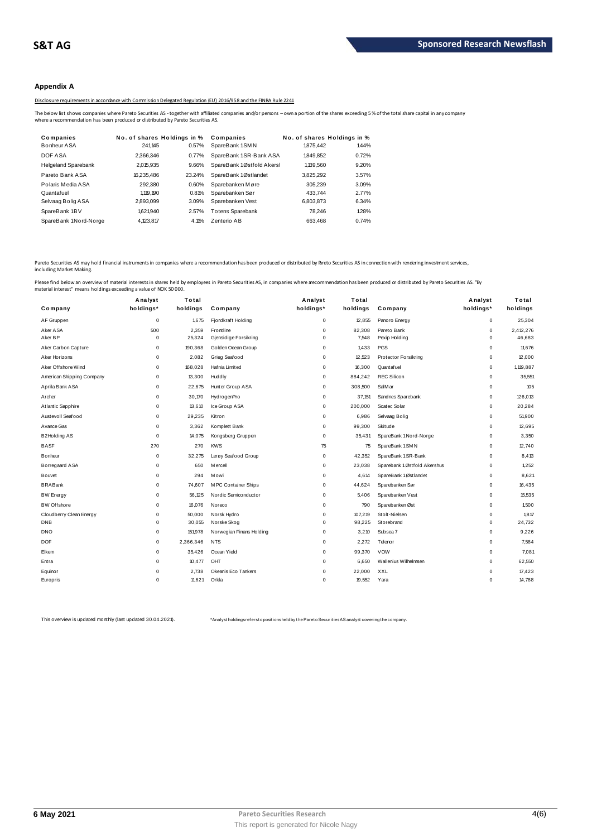# **Appendix A**

Disclosure requirements in accordance with Commission Delegated Regulation (EU) 2016/958 and the FINRA Rule 2241

| Companies                  | No. of shares Holdings in % |        | Companies                 | No. of shares Holdings in % |       |  |
|----------------------------|-----------------------------|--------|---------------------------|-----------------------------|-------|--|
| Bonheur ASA                | 241.145                     | 0.57%  | SpareBank 1SMN            | 1.875.442                   | 1.44% |  |
| DOF ASA                    | 2.366.346                   | 0.77%  | SpareBank 1SR-Bank ASA    | 1.849.852                   | 0.72% |  |
| <b>Helgeland Sparebank</b> | 2,015,935                   | 9.66%  | SpareBank 1Østfold Akersl | 1,139,560                   | 9.20% |  |
| Pareto Bank ASA            | 16.235.486                  | 23.24% | SpareBank 1Østlandet      | 3,825,292                   | 3.57% |  |
| Polaris Media ASA          | 292.380                     | 0.60%  | Sparebanken Møre          | 305.239                     | 3.09% |  |
| Quantafuel                 | 1,119,190                   | 0.81%  | Sparebanken Sør           | 433.744                     | 2.77% |  |
| Selvaag Bolig ASA          | 2,893,099                   | 3.09%  | Sparebanken Vest          | 6,803,873                   | 6.34% |  |
| SpareBank 1BV              | 1.621.940                   | 2.57%  | <b>Totens Sparebank</b>   | 78.246                      | 1.28% |  |
| SpareBank 1Nord-Norge      | 4.123.817                   | 4.11%  | Zenterio AB               | 663.468                     | 0.74% |  |
|                            |                             |        |                           |                             |       |  |

Pareto Securities AS may hold financial instruments in companies where a recommendation has been produced or distributed by Pareto Securities AS in connection with rendering investment services, including Market Making.

| naterial interest" means holdings exceeding a value of NOK 50 000. |             |           |                          |             |          | lease find below an overview of material interests in shares held by employees in Pareto Securities AS, in companies where a ecommendation has been produced or distributed by Pareto Securities AS. "By |             |           |
|--------------------------------------------------------------------|-------------|-----------|--------------------------|-------------|----------|----------------------------------------------------------------------------------------------------------------------------------------------------------------------------------------------------------|-------------|-----------|
|                                                                    | Analyst     | Total     |                          | Analyst     | Total    |                                                                                                                                                                                                          | Analyst     | Total     |
| Company                                                            | holdings*   | holdings  | Company                  | holdings*   | holdings | Company                                                                                                                                                                                                  | holdings*   | holdings  |
| AF Gruppen                                                         | $\mathbf 0$ | 1,675     | Fjordkraft Holding       | $\mathbf 0$ | 12,855   | Panoro Energy                                                                                                                                                                                            | $\mathbf 0$ | 25,304    |
| Aker ASA                                                           | 500         | 2,359     | Frontline                | $\mathbf 0$ | 82,308   | Pareto Bank                                                                                                                                                                                              | $\mathbf 0$ | 2,412,276 |
| Aker BP                                                            | $\mathbf 0$ | 25,324    | Gjensidige Forsikring    | $\mathbf 0$ | 7,548    | Pexip Holding                                                                                                                                                                                            | $\mathbf 0$ | 46,683    |
| Aker Carbon Capture                                                | $\mathbf 0$ | 190,368   | Golden Ocean Group       | $\mathbf 0$ | 1,433    | <b>PGS</b>                                                                                                                                                                                               | $\mathbf 0$ | 11,676    |
| Aker Horizons                                                      | $\mathbf 0$ | 2,082     | Grieg Seafood            | $\mathbf 0$ | 12,523   | <b>Protector Forsikring</b>                                                                                                                                                                              | 0           | 12,000    |
| Aker Offshore Wind                                                 | $\mathbf 0$ | 168,028   | Hafnia Limited           | 0           | 16,300   | Quant af uel                                                                                                                                                                                             | $\mathsf 0$ | 1,119,887 |
| American Shipping Company                                          | 0           | 13,300    | Huddly                   | $\mathbf 0$ | 884,242  | <b>REC Silicon</b>                                                                                                                                                                                       | 0           | 35,551    |
| Aprila Bank ASA                                                    | $\mathbf 0$ | 22,675    | Hunter Group ASA         | $\mathbf 0$ | 308,500  | SalM ar                                                                                                                                                                                                  | $\mathsf 0$ | 105       |
| Archer                                                             | $\mathbf 0$ | 30.170    | HydrogenPro              | $\mathbf 0$ | 37,151   | Sandnes Sparebank                                                                                                                                                                                        | $\mathbf 0$ | 126,013   |
| Atlantic Sapphire                                                  | $\mathbf 0$ | 13,610    | Ice Group ASA            | $\mathbf 0$ | 200,000  | Scatec Solar                                                                                                                                                                                             | $\mathbf 0$ | 20,284    |
| Austevoll Seafood                                                  | $\mathbf 0$ | 29,235    | Kitron                   | $\mathbf 0$ | 6,986    | Selvaag Bolig                                                                                                                                                                                            | $\mathbf 0$ | 51,900    |
| A vance Gas                                                        | $\mathbf 0$ | 3.362     | Komplett Bank            | $\mathbf 0$ | 99,300   | Skitude                                                                                                                                                                                                  | $\mathbf 0$ | 12,695    |
| <b>B2Holding AS</b>                                                | $\Omega$    | 14,075    | Kongsberg Gruppen        | $\mathbf 0$ | 35,431   | SpareBank 1 Nord-Norge                                                                                                                                                                                   | $\mathbf 0$ | 3,350     |
| <b>BASF</b>                                                        | 270         | 270       | <b>KWS</b>               | 75          | 75       | SpareBank 1 SMN                                                                                                                                                                                          | $\mathbf 0$ | 12,740    |
| Bonheur                                                            | $\mathbf 0$ | 32,275    | Lerøy Seafood Group      | $\mathbf 0$ | 42,352   | SpareBank 1 SR-Bank                                                                                                                                                                                      | $\mathbf 0$ | 8,413     |
| Borregaard ASA                                                     | $\mathbf 0$ | 650       | M ercell                 | $\Omega$    | 23,038   | Sparebank 1Østfold Akershus                                                                                                                                                                              | $\mathbf 0$ | 1.252     |
| Bouvet                                                             | $\mathbf 0$ | 294       | M owi                    | 0           | 4,614    | SpareBank 1Østlandet                                                                                                                                                                                     | $\mathbf 0$ | 8,621     |
| <b>BRABank</b>                                                     | $\mathbf 0$ | 74,607    | M PC Container Ships     | 0           | 44,624   | Sparebanken Sør                                                                                                                                                                                          | 0           | 16,435    |
| <b>BW</b> Energy                                                   | $\mathbf 0$ | 56,125    | Nordic Semiconductor     | $\mathbf 0$ | 5,406    | Sparebanken Vest                                                                                                                                                                                         | $\mathbf 0$ | 15,535    |
| <b>BW Offshore</b>                                                 | $\mathbf 0$ | 16,076    | Noreco                   | $\mathbf 0$ | 790      | Sparebanken Øst                                                                                                                                                                                          | $\mathbf 0$ | 1,500     |
| Cloudberry Clean Energy                                            | $\mathbf 0$ | 50,000    | Norsk Hydro              | $\mathbf 0$ | 107.219  | Stolt-Nielsen                                                                                                                                                                                            | $\mathbf 0$ | 1,817     |
| <b>DNB</b>                                                         | $\mathbf 0$ | 30,055    | Norske Skog              | $\mathbf 0$ | 98,225   | Storebrand                                                                                                                                                                                               | $\mathbf 0$ | 24,732    |
| <b>DNO</b>                                                         | $\mathbf 0$ | 151,978   | Norwegian Finans Holding | $\pmb{0}$   | 3,210    | Subsea 7                                                                                                                                                                                                 | $\mathbf 0$ | 9,226     |
| <b>DOF</b>                                                         | $\mathbf 0$ | 2,366,346 | <b>NTS</b>               | $\mathbf 0$ | 2,272    | Telenor                                                                                                                                                                                                  | $\mathbf 0$ | 7,584     |
| Elkem                                                              | $\mathbf 0$ | 35,426    | Ocean Yield              | $\mathbf 0$ | 99,370   | <b>VOW</b>                                                                                                                                                                                               | $\mathsf 0$ | 7,081     |
| Entra                                                              | $\mathbf 0$ | 10,477    | OHT                      | $\mathbf 0$ | 6,650    | Wallenius Wilhelmsen                                                                                                                                                                                     | $\mathbf 0$ | 62,550    |
| Equinor                                                            | $\mathbf 0$ | 2,738     | Okeanis Eco Tankers      | 0           | 22,000   | <b>XXL</b>                                                                                                                                                                                               | 0           | 17,423    |
| Europris                                                           | $\mathbf 0$ | 11.621    | Orkla                    | $\mathbf 0$ | 19,552   | Yara                                                                                                                                                                                                     | $\mathbf 0$ | 14,788    |

This overview is updated monthly (last updated 30.04.2021). \*Analyst holdings ref ers t o posit ions held by t he Paret o Securit ies AS analyst covering t he company.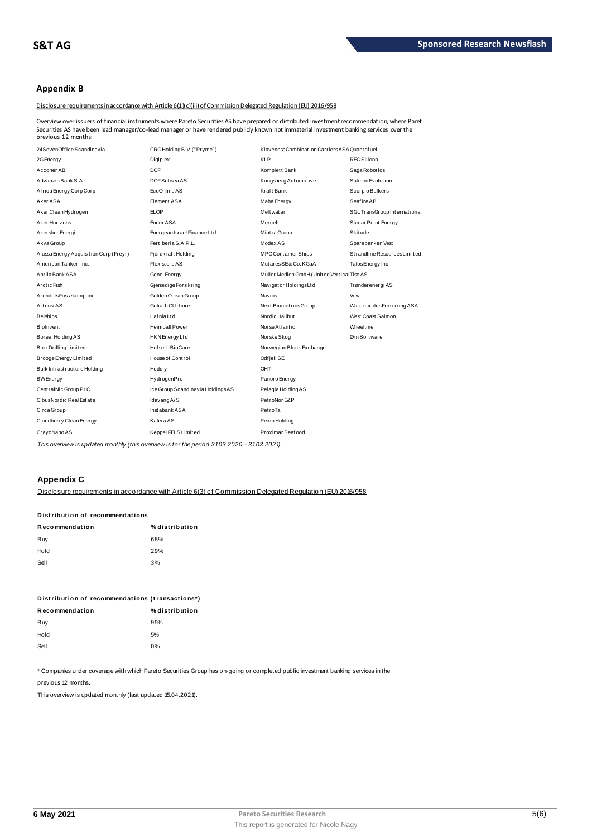# **Appendix B**

Disclosure requirements in accordance with Article 6(1)(c)(iii) of Commission Delegated Regulation (EU) 2016/958

Overview over issuers of financial instruments where Pareto Securities AS have prepared or distributed investment recommendation, where Paret Securities AS have been lead manager/co-lead manager or have rendered publidy known not immaterial investment recommendation, where Pa becurities AS have been lead manager/co-lead manager or have rendered publidy known not

| 24SevenOffice Scandinavia              | CRC Holding B.V. ("Pryme")       | Klaveness Combination Carriers ASA Quant af uel |                              |
|----------------------------------------|----------------------------------|-------------------------------------------------|------------------------------|
| 2G Energy                              | Digiplex                         | KLP                                             | REC Silicon                  |
| Acconer AB                             | DOF                              | Komplett Bank                                   | Saga Robotics                |
| Advanzia Bank S.A.                     | DOF Subsea AS                    | Kongsberg Automotive                            | Salmon Evolution             |
| Africa Energy Corp Corp                | EcoOnline AS                     | Kraft Bank                                      | Scorpio Bulkers              |
| Aker ASA                               | Element ASA                      | Maha Energy                                     | <b>Seafire AB</b>            |
| Aker Clean Hydrogen                    | <b>ELOP</b>                      | Meltwater                                       | SGL TransGroup International |
| Aker Horizons                          | Endur ASA                        | Mercell                                         | Siccar Point Energy          |
| AkershusEnergi                         | Energean Israel Finance Ltd.     | Mintra Group                                    | <b>Skitude</b>               |
| Akva Group                             | Fertiberia S.A.R.L.              | Modex AS                                        | Sparebanken Vest             |
| Alussa Energy Acquisition Corp (Freyr) | Fjordkraft Holding               | <b>MPC Container Ships</b>                      | Strandline Resources Limited |
| American Tanker, Inc.                  | <b>Flexistore AS</b>             | MutaresSE& Co. KGaA                             | Talos Energy Inc             |
| Aprila Bank ASA                        | Genel Energy                     | Müller Medien GmbH (United Vertica Tise AS      |                              |
| Arctic Fish                            | Gjensidige Forsikring            | Navigator HoldingsLtd.                          | Trønderenergi AS             |
| ArendalsFossekompani                   | Golden Ocean Group               | <b>Navios</b>                                   | Vow                          |
| Attensi AS                             | Goliath Offshore                 | Next BiometricsGroup                            | WatercirclesForsikring ASA   |
| <b>Belships</b>                        | Hafnia Ltd.                      | Nordic Halibut                                  | West Coast Salmon            |
| Biolnvent                              | <b>Heimdall Power</b>            | Norse Atlantic                                  | Wheel.me                     |
| Boreal Holding AS                      | HKN Energy Ltd                   | Norske Skog                                     | Ørn Software                 |
| Borr Drilling Limited                  | Hof seth BioCare                 | Norwegian Block Exchange                        |                              |
| Brooge Energy Limited                  | House of Control                 | Odfjell SE                                      |                              |
| Bulk Infrastructure Holding            | Huddly                           | OHT                                             |                              |
| BWEnergy                               | HydrogenPro                      | Panoro Energy                                   |                              |
| Central Nic Group PLC                  | Ice Group Scandinavia HoldingsAS | Pelagia Holding AS                              |                              |
| Cibus Nordic Real Estate               | Idavang A/S                      | PetroNor E&P                                    |                              |
| Circa Group                            | Instabank ASA                    | PetroTal                                        |                              |
| Cloudberry Clean Energy                | KaleraAS                         | Pexip Holding                                   |                              |
| CrayoNano AS                           | Keppel FELS Limited              | Proximar Seafood                                |                              |

This overview is updated monthly (this overview is for the period 31.03.2020 - 31.03.2021).

# **Appendix C**

Disclosure requirements in accordance with Article 6(3) of Commission Delegated Regulation (EU) 2016/958

| Distribution of recommendations |                |  |  |  |  |
|---------------------------------|----------------|--|--|--|--|
| Recommendation                  | % distribution |  |  |  |  |
| Buy                             | 68%            |  |  |  |  |
| Hold                            | 29%            |  |  |  |  |
| Sell                            | 3%             |  |  |  |  |

| Distribution of recommendations (transactions*) |                |  |  |  |
|-------------------------------------------------|----------------|--|--|--|
| Recommendation                                  | % distribution |  |  |  |
| Buy                                             | 95%            |  |  |  |
| Hold                                            | 5%             |  |  |  |
| Sell                                            | በ%             |  |  |  |

\* Companies under coverage with which Pareto Securities Group has on-going or completed public investment banking services in the

previous 12 months.

This overview is updated monthly (last updated 15.04.2021).